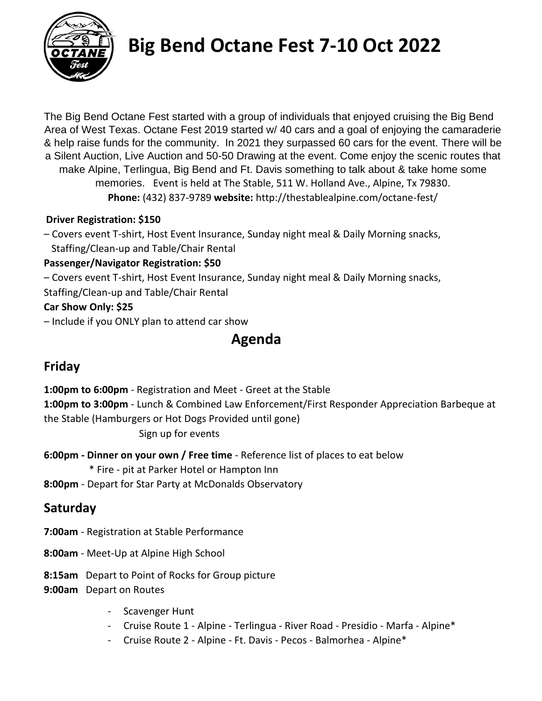

# **Big Bend Octane Fest 7-10 Oct 2022**

The Big Bend Octane Fest started with a group of individuals that enjoyed cruising the Big Bend Area of West Texas. Octane Fest 2019 started w/ 40 cars and a goal of enjoying the camaraderie & help raise funds for the community. In 2021 they surpassed 60 cars for the event. There will be a Silent Auction, Live Auction and 50-50 Drawing at the event. Come enjoy the scenic routes that make Alpine, Terlingua, Big Bend and Ft. Davis something to talk about & take home some memories. Event is held at The Stable, 511 W. Holland Ave., Alpine, Tx 79830. **Phone:** (432) 837-9789 **website:** http://thestablealpine.com/octane-fest/

#### **Driver Registration: \$150**

– Covers event T-shirt, Host Event Insurance, Sunday night meal & Daily Morning snacks, Staffing/Clean-up and Table/Chair Rental

#### **Passenger/Navigator Registration: \$50**

- Covers event T-shirt, Host Event Insurance, Sunday night meal & Daily Morning snacks,
- Staffing/Clean-up and Table/Chair Rental

## **Car Show Only: \$25**

– Include if you ONLY plan to attend car show

# **Agenda**

## **Friday**

**1:00pm to 6:00pm** - Registration and Meet - Greet at the Stable **1:00pm to 3:00pm** - Lunch & Combined Law Enforcement/First Responder Appreciation Barbeque at the Stable (Hamburgers or Hot Dogs Provided until gone) Sign up for events

**6:00pm - Dinner on your own / Free time** - Reference list of places to eat below

- \* Fire pit at Parker Hotel or Hampton Inn
- **8:00pm** Depart for Star Party at McDonalds Observatory

## **Saturday**

- **7:00am** Registration at Stable Performance
- **8:00am** Meet-Up at Alpine High School
- **8:15am** Depart to Point of Rocks for Group picture
- **9:00am** Depart on Routes
	- Scavenger Hunt
	- Cruise Route 1 Alpine Terlingua River Road Presidio Marfa Alpine\*
	- Cruise Route 2 Alpine Ft. Davis Pecos Balmorhea Alpine\*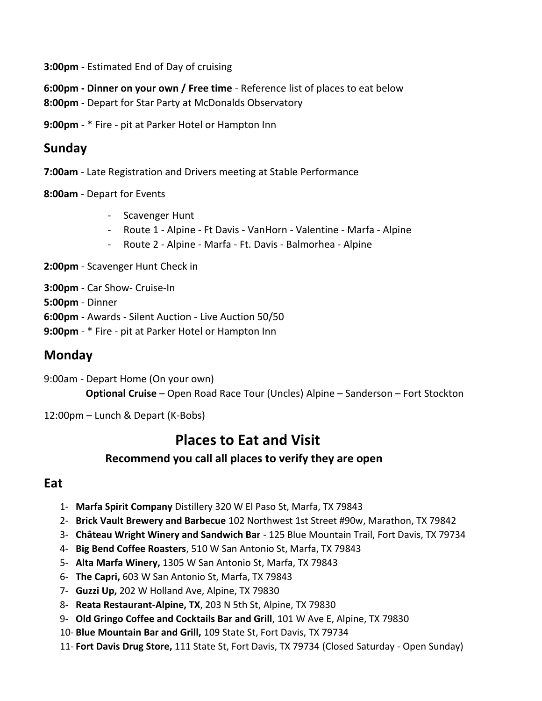**3:00pm** - Estimated End of Day of cruising

**6:00pm - Dinner on your own / Free time** - Reference list of places to eat below

**8:00pm** - Depart for Star Party at McDonalds Observatory

**9:00pm** - \* Fire - pit at Parker Hotel or Hampton Inn

## **Sunday**

- **7:00am** Late Registration and Drivers meeting at Stable Performance
- **8:00am** Depart for Events
	- Scavenger Hunt
	- Route 1 Alpine Ft Davis VanHorn Valentine Marfa Alpine
	- Route 2 Alpine Marfa Ft. Davis Balmorhea Alpine
- **2:00pm** Scavenger Hunt Check in

**3:00pm** - Car Show- Cruise-In

- **5:00pm** Dinner
- **6:00pm** Awards Silent Auction Live Auction 50/50
- **9:00pm** \* Fire pit at Parker Hotel or Hampton Inn

## **Monday**

- 9:00am Depart Home (On your own) **Optional Cruise** – Open Road Race Tour (Uncles) Alpine – Sanderson – Fort Stockton
- 12:00pm Lunch & Depart (K-Bobs)

## **Places to Eat and Visit**

### **Recommend you call all places to verify they are open**

### **Eat**

- 1- **Marfa Spirit Company** Distillery 320 W El Paso St, Marfa, TX 79843
- 2- **Brick Vault Brewery and Barbecue** 102 Northwest 1st Street #90w, Marathon, TX 79842
- 3- **Château Wright Winery and Sandwich Bar** 125 Blue Mountain Trail, Fort Davis, TX 79734
- 4- **Big Bend Coffee Roasters**, 510 W San Antonio St, Marfa, TX 79843
- 5- **Alta Marfa Winery,** 1305 W San Antonio St, Marfa, TX 79843
- 6- **The Capri,** 603 W San Antonio St, Marfa, TX 79843
- 7- **Guzzi Up,** 202 W Holland Ave, Alpine, TX 79830
- 8- **Reata Restaurant-Alpine, TX**, 203 N 5th St, Alpine, TX 79830
- 9- **Old Gringo Coffee and Cocktails Bar and Grill**, 101 W Ave E, Alpine, TX 79830
- 10- **Blue Mountain Bar and Grill,** 109 State St, Fort Davis, TX 79734
- 11- **Fort Davis Drug Store,** 111 State St, Fort Davis, TX 79734 (Closed Saturday Open Sunday)